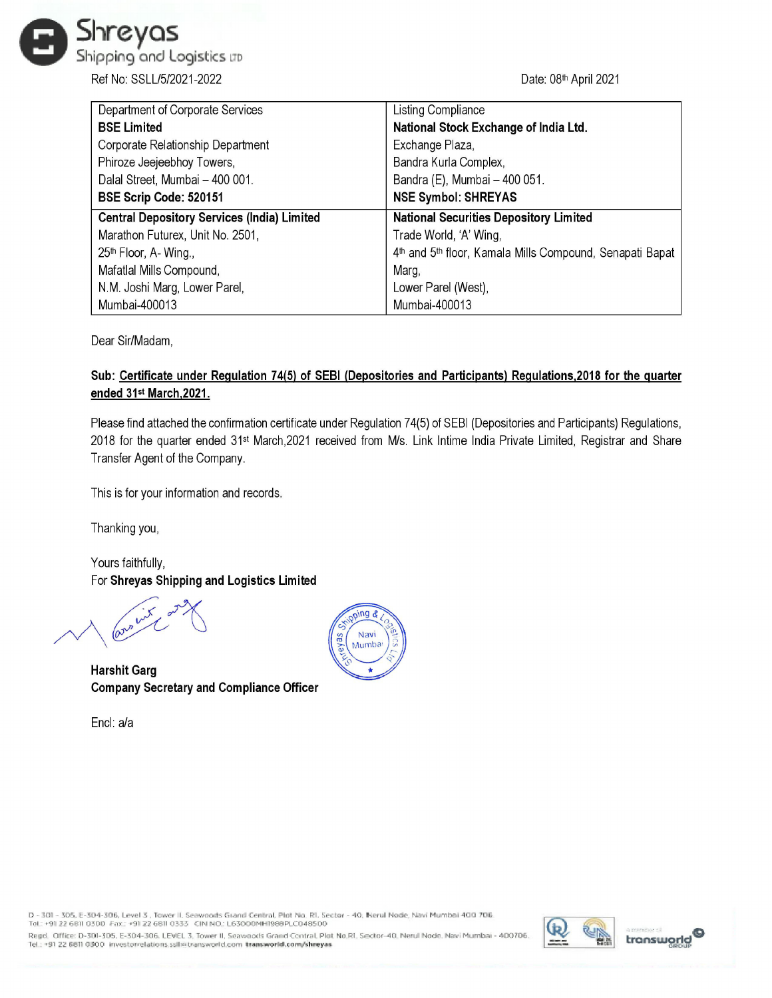

| Ihreyas                                                  |                                                                                                            |
|----------------------------------------------------------|------------------------------------------------------------------------------------------------------------|
| ipping and Logistics up                                  |                                                                                                            |
| Ref No: SSLL/5/2021-2022                                 | Date: 08th April 2021                                                                                      |
| Department of Corporate Services                         | Listing Compliance                                                                                         |
| <b>BSE Limited</b><br>Corporate Relationship Department  | National Stock Exchange of India Ltd.<br>Exchange Plaza,                                                   |
| Phiroze Jeejeebhoy Towers,                               | Bandra Kurla Complex,                                                                                      |
| Dalal Street, Mumbai - 400 001.                          | Bandra (E), Mumbai - 400 051.                                                                              |
| BSE Scrip Code: 520151                                   | <b>NSE Symbol: SHREYAS</b>                                                                                 |
| <b>Central Depository Services (India) Limited</b>       | <b>National Securities Depository Limited</b>                                                              |
| Marathon Futurex, Unit No. 2501,<br>25th Floor, A-Wing., | Trade World, 'A' Wing,<br>4 <sup>th</sup> and 5 <sup>th</sup> floor, Kamala Mills Compound, Senapati Bapat |
| Mafatlal Mills Compound,                                 | Marg,                                                                                                      |
| N.M. Joshi Marg, Lower Parel,                            | Lower Parel (West),                                                                                        |
| Mumbai-400013                                            | Mumbai-400013                                                                                              |

Dear Sir/Madam,

## Sub: Certificate under Regulation 74(5) of SEBI (Depositories and Participants) Regulations,2018 for the quarter ended 31st March,2021.

Please find attached the confirmation certificate under Regulation 74(5) of SEBI (Depositories and Participants) Regulations, 2018 for the quarter ended 31st March,2021 received from M/s. Link Intime India Private Limited, Registrar and Share Transfer Agent of the Company.

This is for your information and records.

Thanking you,

Yours faithfully,

For Shreyas Shipping and Logistics Limited  $\int_0^{\sqrt{2\pi}} e^{-2\pi i x} dx$ 

Harshit Garg Company Secretary and Compliance Officer

Encl: a/a



D - 301 - 305, E-304-306, Level 3 , Tower II, Seawoods Grand Central, Plot No. RI, Sector - 40, Nerul Node, Navi Mumbal 400 706.<br>Tel.: +91 22 6811 0300 Fax.: +91 22 6811 0333 - CIN NO.: L63000MH1988PLC048500<br>Regd.: +91 22